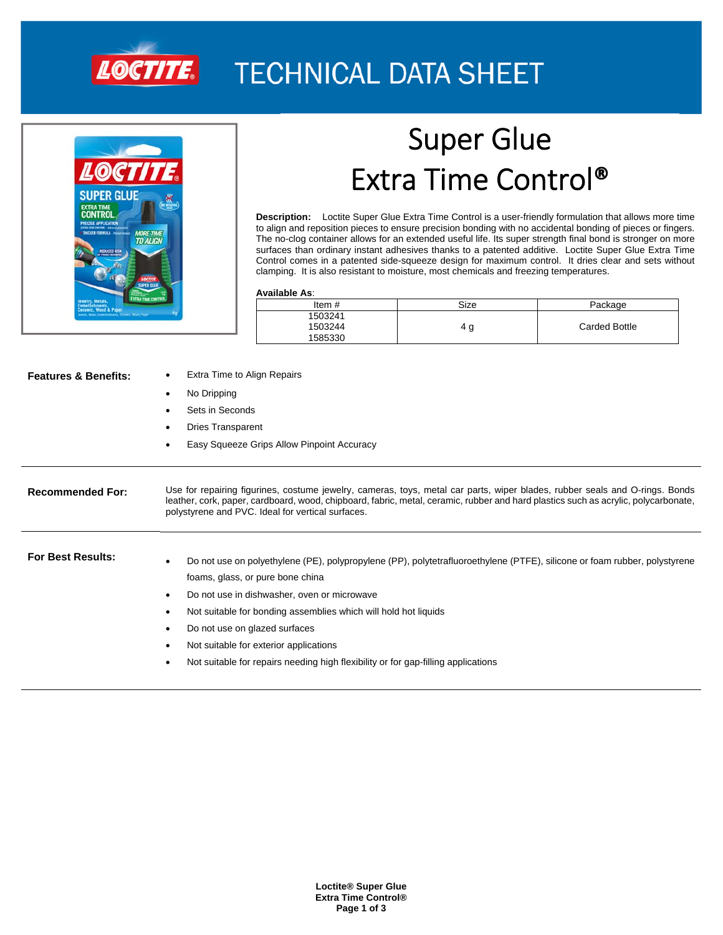

## **TECHNICAL DATA SHEET**



# Super Glue Extra Time Control®

**Description:** Loctite Super Glue Extra Time Control is a user-friendly formulation that allows more time to align and reposition pieces to ensure precision bonding with no accidental bonding of pieces or fingers. The no-clog container allows for an extended useful life. Its super strength final bond is stronger on more surfaces than ordinary instant adhesives thanks to a patented additive. Loctite Super Glue Extra Time Control comes in a patented side-squeeze design for maximum control. It dries clear and sets without clamping. It is also resistant to moisture, most chemicals and freezing temperatures.

### **Available As**:

| Item#   | Size   | Package              |
|---------|--------|----------------------|
| 1503241 |        |                      |
| 1503244 | g<br>4 | <b>Carded Bottle</b> |
| 1585330 |        |                      |

|  |  | <b>Features &amp; Benefits:</b> |
|--|--|---------------------------------|
|--|--|---------------------------------|

- **Extra Time to Align Repairs**
- No Dripping
- Sets in Seconds
- Dries Transparent
- Easy Squeeze Grips Allow Pinpoint Accuracy

## **Recommended For:** Use for repairing figurines, costume jewelry, cameras, toys, metal car parts, wiper blades, rubber seals and O-rings. Bonds leather, cork, paper, cardboard, wood, chipboard, fabric, metal, ceramic, rubber and hard plastics such as acrylic, polycarbonate, polystyrene and PVC. Ideal for vertical surfaces.

For Best Results:<br> **For Best Results: •**Do not use on polyethylene (PE), polypropylene (PP), polytetrafluoroethylene (PTFE), silicone or foam rubber, polystyrene foams, glass, or pure bone china

- Do not use in dishwasher, oven or microwave
- Not suitable for bonding assemblies which will hold hot liquids
- Do not use on glazed surfaces
- Not suitable for exterior applications
- Not suitable for repairs needing high flexibility or for gap-filling applications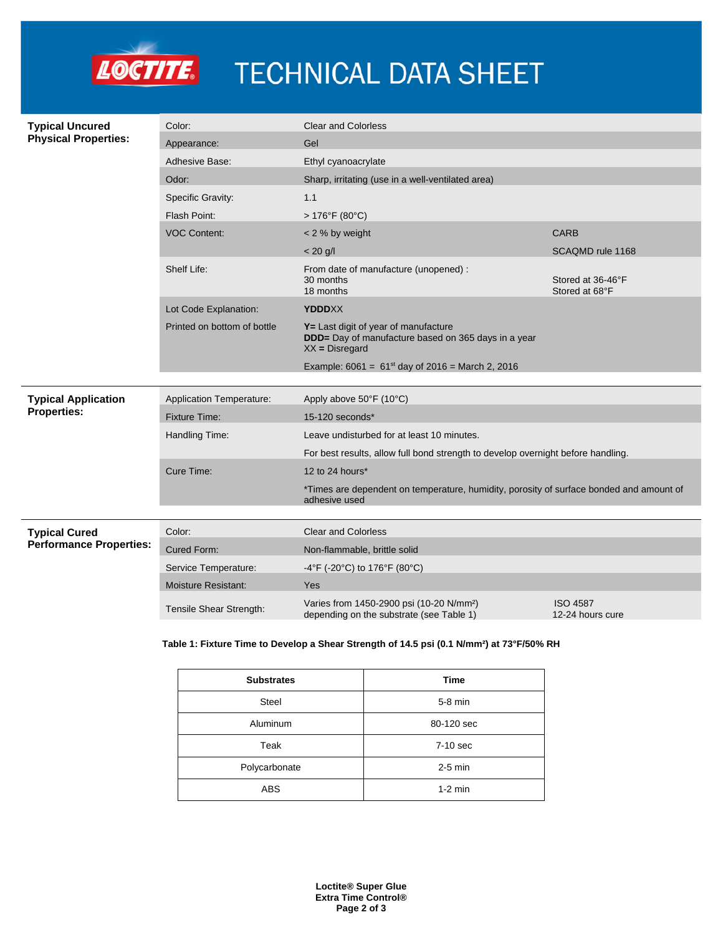

# LOCTITE. TECHNICAL DATA SHEET

| <b>Typical Uncured</b>                                 | Color:                          | <b>Clear and Colorless</b>                                                                                      |                                     |  |
|--------------------------------------------------------|---------------------------------|-----------------------------------------------------------------------------------------------------------------|-------------------------------------|--|
| <b>Physical Properties:</b>                            | Appearance:                     | Gel                                                                                                             |                                     |  |
|                                                        | <b>Adhesive Base:</b>           | Ethyl cyanoacrylate                                                                                             |                                     |  |
|                                                        | Odor:                           | Sharp, irritating (use in a well-ventilated area)                                                               |                                     |  |
|                                                        | <b>Specific Gravity:</b>        | 1.1                                                                                                             |                                     |  |
|                                                        | Flash Point:                    | $>176^{\circ}F(80^{\circ}C)$                                                                                    |                                     |  |
|                                                        | <b>VOC Content:</b>             | $<$ 2 % by weight                                                                                               | <b>CARB</b>                         |  |
|                                                        |                                 | $< 20$ g/l                                                                                                      | SCAQMD rule 1168                    |  |
|                                                        | Shelf Life:                     | From date of manufacture (unopened) :<br>30 months<br>18 months                                                 | Stored at 36-46°F<br>Stored at 68°F |  |
|                                                        | Lot Code Explanation:           | <b>YDDDXX</b>                                                                                                   |                                     |  |
|                                                        | Printed on bottom of bottle     | Y= Last digit of year of manufacture<br>DDD= Day of manufacture based on 365 days in a year<br>$XX = Disregard$ |                                     |  |
|                                                        |                                 | Example: $6061 = 61^{st}$ day of 2016 = March 2, 2016                                                           |                                     |  |
|                                                        |                                 |                                                                                                                 |                                     |  |
| <b>Typical Application</b><br><b>Properties:</b>       | <b>Application Temperature:</b> | Apply above 50°F (10°C)                                                                                         |                                     |  |
|                                                        | <b>Fixture Time:</b>            | 15-120 seconds*                                                                                                 |                                     |  |
|                                                        | Handling Time:                  | Leave undisturbed for at least 10 minutes.                                                                      |                                     |  |
|                                                        |                                 | For best results, allow full bond strength to develop overnight before handling.                                |                                     |  |
|                                                        | Cure Time:                      | 12 to 24 hours*                                                                                                 |                                     |  |
|                                                        |                                 | *Times are dependent on temperature, humidity, porosity of surface bonded and amount of<br>adhesive used        |                                     |  |
|                                                        |                                 |                                                                                                                 |                                     |  |
| <b>Typical Cured</b><br><b>Performance Properties:</b> | Color:                          | <b>Clear and Colorless</b>                                                                                      |                                     |  |
|                                                        | Cured Form:                     | Non-flammable, brittle solid                                                                                    |                                     |  |
|                                                        | Service Temperature:            | -4°F (-20°C) to 176°F (80°C)                                                                                    |                                     |  |
|                                                        | <b>Moisture Resistant:</b>      | Yes                                                                                                             |                                     |  |
|                                                        | Tensile Shear Strength:         | Varies from 1450-2900 psi (10-20 N/mm <sup>2</sup> )<br>depending on the substrate (see Table 1)                | <b>ISO 4587</b><br>12-24 hours cure |  |

## **Table 1: Fixture Time to Develop a Shear Strength of 14.5 psi (0.1 N/mm²) at 73°F/50% RH**

| <b>Substrates</b> | <b>Time</b> |  |
|-------------------|-------------|--|
| <b>Steel</b>      | 5-8 min     |  |
| Aluminum          | 80-120 sec  |  |
| Teak              | 7-10 sec    |  |
| Polycarbonate     | $2-5$ min   |  |
| <b>ABS</b>        | $1-2$ min   |  |